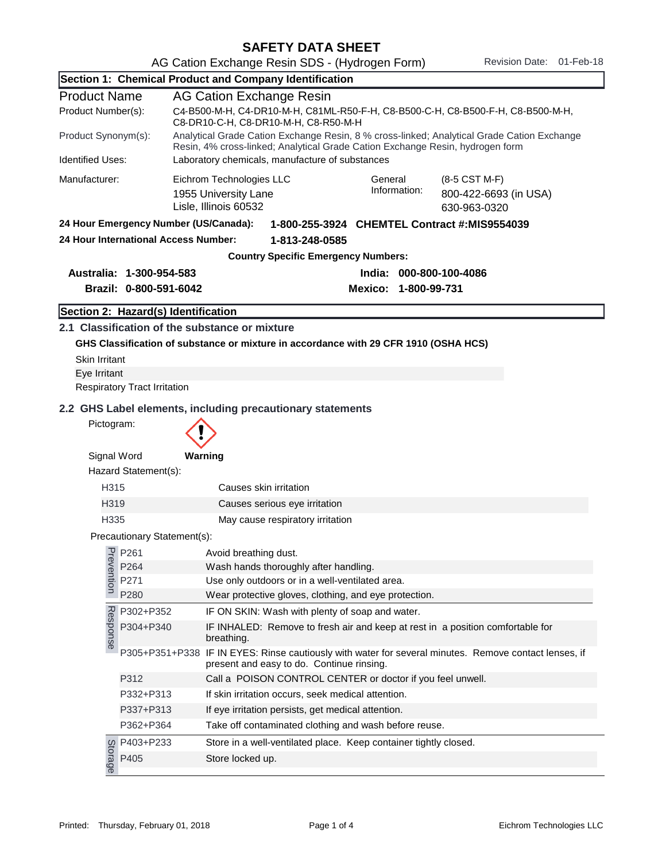|                                                                          |                                      | Section 1: Chemical Product and Company Identification                                                                                                                      |                         |                                                        |  |  |
|--------------------------------------------------------------------------|--------------------------------------|-----------------------------------------------------------------------------------------------------------------------------------------------------------------------------|-------------------------|--------------------------------------------------------|--|--|
| <b>Product Name</b>                                                      |                                      | AG Cation Exchange Resin                                                                                                                                                    |                         |                                                        |  |  |
| Product Number(s):                                                       |                                      | C4-B500-M-H, C4-DR10-M-H, C81ML-R50-F-H, C8-B500-C-H, C8-B500-F-H, C8-B500-M-H,<br>C8-DR10-C-H, C8-DR10-M-H, C8-R50-M-H                                                     |                         |                                                        |  |  |
| Product Synonym(s):                                                      |                                      | Analytical Grade Cation Exchange Resin, 8 % cross-linked; Analytical Grade Cation Exchange<br>Resin, 4% cross-linked; Analytical Grade Cation Exchange Resin, hydrogen form |                         |                                                        |  |  |
| <b>Identified Uses:</b>                                                  |                                      | Laboratory chemicals, manufacture of substances                                                                                                                             |                         |                                                        |  |  |
| Manufacturer:                                                            |                                      | Eichrom Technologies LLC<br>1955 University Lane<br>Lisle, Illinois 60532                                                                                                   | General<br>Information: | (8-5 CST M-F)<br>800-422-6693 (in USA)<br>630-963-0320 |  |  |
| 24 Hour Emergency Number (US/Canada):                                    |                                      | 1-800-255-3924 CHEMTEL Contract #:MIS9554039                                                                                                                                |                         |                                                        |  |  |
|                                                                          | 24 Hour International Access Number: | 1-813-248-0585                                                                                                                                                              |                         |                                                        |  |  |
|                                                                          |                                      | <b>Country Specific Emergency Numbers:</b>                                                                                                                                  |                         |                                                        |  |  |
|                                                                          | Australia: 1-300-954-583             | India: 000-800-100-4086                                                                                                                                                     |                         |                                                        |  |  |
|                                                                          | Brazil: 0-800-591-6042               | Mexico: 1-800-99-731                                                                                                                                                        |                         |                                                        |  |  |
|                                                                          | Section 2: Hazard(s) Identification  |                                                                                                                                                                             |                         |                                                        |  |  |
|                                                                          |                                      | 2.1 Classification of the substance or mixture                                                                                                                              |                         |                                                        |  |  |
|                                                                          |                                      | GHS Classification of substance or mixture in accordance with 29 CFR 1910 (OSHA HCS)                                                                                        |                         |                                                        |  |  |
| Skin Irritant                                                            |                                      |                                                                                                                                                                             |                         |                                                        |  |  |
| Eye Irritant                                                             |                                      |                                                                                                                                                                             |                         |                                                        |  |  |
|                                                                          | <b>Respiratory Tract Irritation</b>  |                                                                                                                                                                             |                         |                                                        |  |  |
| 2.2 GHS Label elements, including precautionary statements<br>Pictogram: |                                      |                                                                                                                                                                             |                         |                                                        |  |  |
|                                                                          |                                      |                                                                                                                                                                             |                         |                                                        |  |  |
| Signal Word                                                              |                                      | Warning                                                                                                                                                                     |                         |                                                        |  |  |
|                                                                          | Hazard Statement(s):                 |                                                                                                                                                                             |                         |                                                        |  |  |
| H315                                                                     |                                      | Causes skin irritation                                                                                                                                                      |                         |                                                        |  |  |
| H319                                                                     |                                      | Causes serious eye irritation                                                                                                                                               |                         |                                                        |  |  |
| H335                                                                     |                                      | May cause respiratory irritation                                                                                                                                            |                         |                                                        |  |  |
|                                                                          | Precautionary Statement(s):          |                                                                                                                                                                             |                         |                                                        |  |  |
|                                                                          | $\frac{1}{6}$ P261                   | Avoid breathing dust.                                                                                                                                                       |                         |                                                        |  |  |
| <b>Postion</b>                                                           | P264                                 | Wash hands thoroughly after handling.                                                                                                                                       |                         |                                                        |  |  |
|                                                                          | P271<br>P280                         | Use only outdoors or in a well-ventilated area.<br>Wear protective gloves, clothing, and eye protection.                                                                    |                         |                                                        |  |  |
|                                                                          | P302+P352                            | IF ON SKIN: Wash with plenty of soap and water.                                                                                                                             |                         |                                                        |  |  |
|                                                                          | P304+P340                            |                                                                                                                                                                             |                         |                                                        |  |  |
| Response                                                                 |                                      | IF INHALED: Remove to fresh air and keep at rest in a position comfortable for<br>breathing.                                                                                |                         |                                                        |  |  |
|                                                                          |                                      | P305+P351+P338 IF IN EYES: Rinse cautiously with water for several minutes. Remove contact lenses, if<br>present and easy to do. Continue rinsing.                          |                         |                                                        |  |  |
|                                                                          | P312                                 | Call a POISON CONTROL CENTER or doctor if you feel unwell.                                                                                                                  |                         |                                                        |  |  |
|                                                                          | P332+P313                            | If skin irritation occurs, seek medical attention.                                                                                                                          |                         |                                                        |  |  |
|                                                                          | P337+P313                            | If eye irritation persists, get medical attention.                                                                                                                          |                         |                                                        |  |  |
|                                                                          | P362+P364                            | Take off contaminated clothing and wash before reuse.                                                                                                                       |                         |                                                        |  |  |
|                                                                          | P403+P233                            | Store in a well-ventilated place. Keep container tightly closed.                                                                                                            |                         |                                                        |  |  |
| Storage                                                                  | P405                                 | Store locked up.                                                                                                                                                            |                         |                                                        |  |  |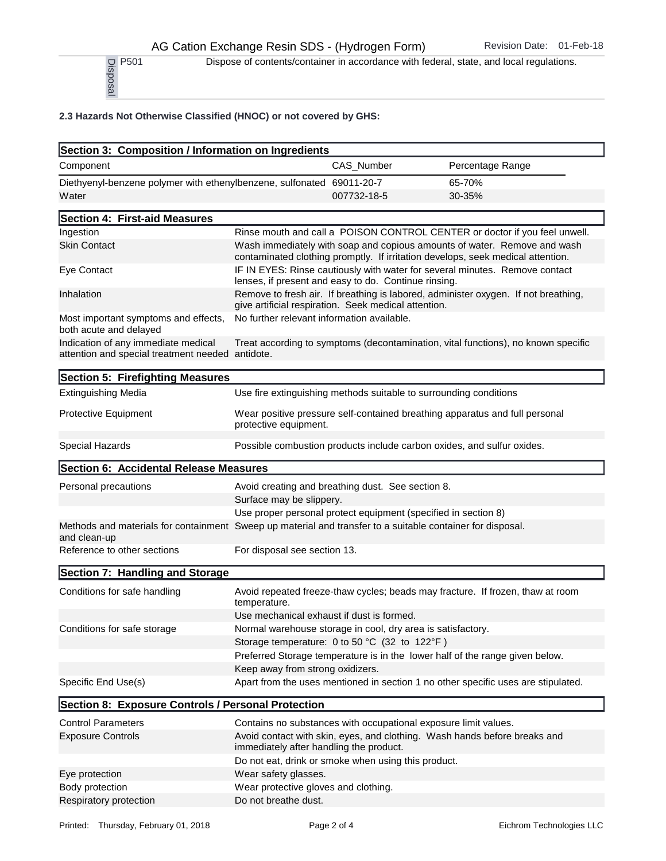P<sub>501</sub> Dispose of contents/container in accordance with federal, state, and local regulations.

## 2.3 Hazards Not Otherwise Classified (HNOC) or not covered by GHS:

| P <sub>501</sub><br>Disposal                                                                                               |                                                                                                                                              |             | Dispose of contents/container in accordance with federal, state, and local regulations.                                                                                                                                                   |  |
|----------------------------------------------------------------------------------------------------------------------------|----------------------------------------------------------------------------------------------------------------------------------------------|-------------|-------------------------------------------------------------------------------------------------------------------------------------------------------------------------------------------------------------------------------------------|--|
| 2.3 Hazards Not Otherwise Classified (HNOC) or not covered by GHS:                                                         |                                                                                                                                              |             |                                                                                                                                                                                                                                           |  |
| Section 3: Composition / Information on Ingredients                                                                        |                                                                                                                                              |             |                                                                                                                                                                                                                                           |  |
| Component                                                                                                                  |                                                                                                                                              | CAS_Number  | Percentage Range                                                                                                                                                                                                                          |  |
| Diethyenyl-benzene polymer with ethenylbenzene, sulfonated 69011-20-7<br>Water                                             |                                                                                                                                              | 007732-18-5 | 65-70%<br>30-35%                                                                                                                                                                                                                          |  |
| Section 4: First-aid Measures                                                                                              |                                                                                                                                              |             |                                                                                                                                                                                                                                           |  |
| Ingestion<br><b>Skin Contact</b>                                                                                           |                                                                                                                                              |             | Rinse mouth and call a POISON CONTROL CENTER or doctor if you feel unwell.<br>Wash immediately with soap and copious amounts of water. Remove and wash<br>contaminated clothing promptly. If irritation develops, seek medical attention. |  |
| Eye Contact                                                                                                                | IF IN EYES: Rinse cautiously with water for several minutes. Remove contact<br>lenses, if present and easy to do. Continue rinsing.          |             |                                                                                                                                                                                                                                           |  |
| Inhalation                                                                                                                 | Remove to fresh air. If breathing is labored, administer oxygen. If not breathing,<br>give artificial respiration. Seek medical attention.   |             |                                                                                                                                                                                                                                           |  |
| Most important symptoms and effects,<br>both acute and delayed                                                             | No further relevant information available.                                                                                                   |             |                                                                                                                                                                                                                                           |  |
| Indication of any immediate medical<br>attention and special treatment needed antidote.                                    |                                                                                                                                              |             | Treat according to symptoms (decontamination, vital functions), no known specific                                                                                                                                                         |  |
| Section 5: Firefighting Measures                                                                                           |                                                                                                                                              |             |                                                                                                                                                                                                                                           |  |
| <b>Extinguishing Media</b>                                                                                                 |                                                                                                                                              |             | Use fire extinguishing methods suitable to surrounding conditions                                                                                                                                                                         |  |
| Protective Equipment                                                                                                       | protective equipment.                                                                                                                        |             | Wear positive pressure self-contained breathing apparatus and full personal                                                                                                                                                               |  |
| Special Hazards                                                                                                            |                                                                                                                                              |             | Possible combustion products include carbon oxides, and sulfur oxides.                                                                                                                                                                    |  |
| Section 6: Accidental Release Measures                                                                                     |                                                                                                                                              |             |                                                                                                                                                                                                                                           |  |
| Personal precautions                                                                                                       | Avoid creating and breathing dust. See section 8.<br>Surface may be slippery.                                                                |             |                                                                                                                                                                                                                                           |  |
|                                                                                                                            |                                                                                                                                              |             | Use proper personal protect equipment (specified in section 8)                                                                                                                                                                            |  |
| Methods and materials for containment Sweep up material and transfer to a suitable container for disposal.<br>and clean-up |                                                                                                                                              |             |                                                                                                                                                                                                                                           |  |
| Reference to other sections                                                                                                | For disposal see section 13.                                                                                                                 |             |                                                                                                                                                                                                                                           |  |
| Section 7: Handling and Storage                                                                                            |                                                                                                                                              |             |                                                                                                                                                                                                                                           |  |
| Conditions for safe handling                                                                                               | temperature.                                                                                                                                 |             | Avoid repeated freeze-thaw cycles; beads may fracture. If frozen, thaw at room                                                                                                                                                            |  |
|                                                                                                                            | Use mechanical exhaust if dust is formed.                                                                                                    |             |                                                                                                                                                                                                                                           |  |
| Conditions for safe storage                                                                                                | Normal warehouse storage in cool, dry area is satisfactory.                                                                                  |             |                                                                                                                                                                                                                                           |  |
|                                                                                                                            | Storage temperature: 0 to 50 °C (32 to 122°F)                                                                                                |             | Preferred Storage temperature is in the lower half of the range given below.                                                                                                                                                              |  |
|                                                                                                                            | Keep away from strong oxidizers.                                                                                                             |             |                                                                                                                                                                                                                                           |  |
| Specific End Use(s)                                                                                                        |                                                                                                                                              |             | Apart from the uses mentioned in section 1 no other specific uses are stipulated.                                                                                                                                                         |  |
| Section 8: Exposure Controls / Personal Protection                                                                         |                                                                                                                                              |             |                                                                                                                                                                                                                                           |  |
| <b>Control Parameters</b>                                                                                                  |                                                                                                                                              |             |                                                                                                                                                                                                                                           |  |
| <b>Exposure Controls</b>                                                                                                   | Contains no substances with occupational exposure limit values.<br>Avoid contact with skin, eyes, and clothing. Wash hands before breaks and |             |                                                                                                                                                                                                                                           |  |
|                                                                                                                            | immediately after handling the product.                                                                                                      |             |                                                                                                                                                                                                                                           |  |
|                                                                                                                            | Do not eat, drink or smoke when using this product.                                                                                          |             |                                                                                                                                                                                                                                           |  |
| Eye protection                                                                                                             | Wear safety glasses.                                                                                                                         |             |                                                                                                                                                                                                                                           |  |
| Body protection<br>Respiratory protection                                                                                  | Wear protective gloves and clothing.<br>Do not breathe dust.                                                                                 |             |                                                                                                                                                                                                                                           |  |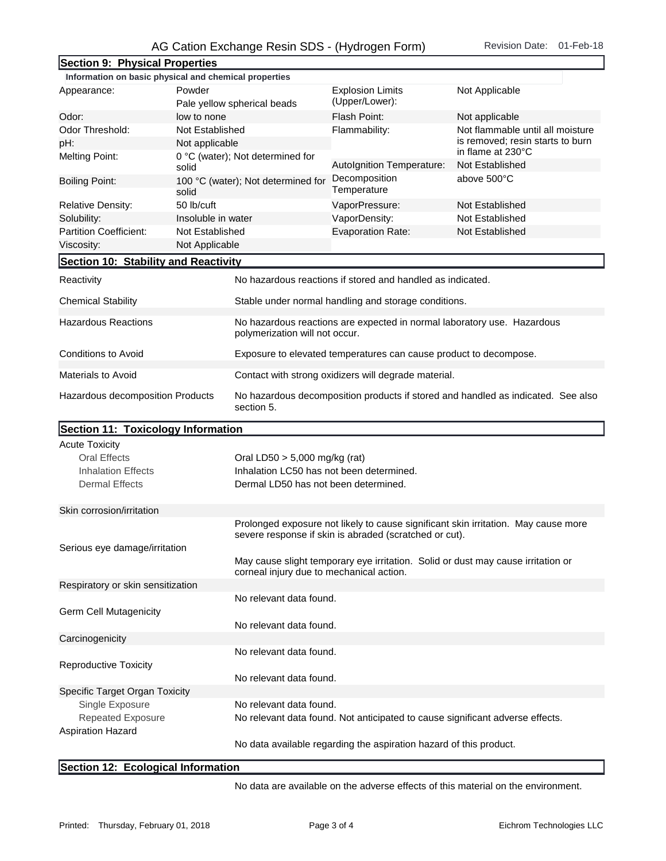## AG Cation Exchange Resin SDS - (Hydrogen Form) Revision Date: 01-Feb-18

| Section 9: Physical Properties                        |                             |                                                                                                                              |                                                            |                                                                                    |  |
|-------------------------------------------------------|-----------------------------|------------------------------------------------------------------------------------------------------------------------------|------------------------------------------------------------|------------------------------------------------------------------------------------|--|
| Information on basic physical and chemical properties |                             |                                                                                                                              |                                                            |                                                                                    |  |
| Appearance:                                           | Powder                      |                                                                                                                              | <b>Explosion Limits</b>                                    | Not Applicable                                                                     |  |
|                                                       | Pale yellow spherical beads |                                                                                                                              | (Upper/Lower):                                             |                                                                                    |  |
| Odor:<br>low to none                                  |                             |                                                                                                                              | Flash Point:                                               | Not applicable                                                                     |  |
| Odor Threshold:<br>Not Established                    |                             |                                                                                                                              | Flammability:                                              | Not flammable until all moisture                                                   |  |
| pH:<br>Not applicable                                 |                             |                                                                                                                              |                                                            | is removed; resin starts to burn                                                   |  |
| <b>Melting Point:</b>                                 |                             | 0 °C (water); Not determined for                                                                                             |                                                            | in flame at 230°C                                                                  |  |
| solid                                                 |                             |                                                                                                                              | Autolgnition Temperature:                                  | Not Established                                                                    |  |
| <b>Boiling Point:</b><br>solid                        |                             | 100 °C (water); Not determined for                                                                                           | Decomposition<br>Temperature                               | above 500°C                                                                        |  |
| 50 lb/cuft<br><b>Relative Density:</b>                |                             |                                                                                                                              | VaporPressure:                                             | Not Established                                                                    |  |
| Solubility:                                           | Insoluble in water          |                                                                                                                              | VaporDensity:                                              | Not Established                                                                    |  |
| <b>Partition Coefficient:</b>                         | Not Established             |                                                                                                                              | <b>Evaporation Rate:</b>                                   | Not Established                                                                    |  |
| Viscosity:                                            | Not Applicable              |                                                                                                                              |                                                            |                                                                                    |  |
| Section 10: Stability and Reactivity                  |                             |                                                                                                                              |                                                            |                                                                                    |  |
| Reactivity                                            |                             |                                                                                                                              | No hazardous reactions if stored and handled as indicated. |                                                                                    |  |
| <b>Chemical Stability</b>                             |                             | Stable under normal handling and storage conditions.                                                                         |                                                            |                                                                                    |  |
| <b>Hazardous Reactions</b>                            |                             | No hazardous reactions are expected in normal laboratory use. Hazardous<br>polymerization will not occur.                    |                                                            |                                                                                    |  |
| Conditions to Avoid                                   |                             | Exposure to elevated temperatures can cause product to decompose.                                                            |                                                            |                                                                                    |  |
| <b>Materials to Avoid</b>                             |                             | Contact with strong oxidizers will degrade material.                                                                         |                                                            |                                                                                    |  |
| Hazardous decomposition Products                      |                             | No hazardous decomposition products if stored and handled as indicated. See also<br>section 5.                               |                                                            |                                                                                    |  |
| Section 11: Toxicology Information                    |                             |                                                                                                                              |                                                            |                                                                                    |  |
| <b>Acute Toxicity</b>                                 |                             |                                                                                                                              |                                                            |                                                                                    |  |
| <b>Oral Effects</b>                                   |                             | Oral LD50 > 5,000 mg/kg (rat)                                                                                                |                                                            |                                                                                    |  |
| <b>Inhalation Effects</b>                             |                             | Inhalation LC50 has not been determined.                                                                                     |                                                            |                                                                                    |  |
| <b>Dermal Effects</b>                                 |                             | Dermal LD50 has not been determined.                                                                                         |                                                            |                                                                                    |  |
| Skin corrosion/irritation                             |                             |                                                                                                                              |                                                            |                                                                                    |  |
|                                                       |                             |                                                                                                                              |                                                            | Prolonged exposure not likely to cause significant skin irritation. May cause more |  |
|                                                       |                             | severe response if skin is abraded (scratched or cut).                                                                       |                                                            |                                                                                    |  |
| Serious eye damage/irritation                         |                             |                                                                                                                              |                                                            |                                                                                    |  |
|                                                       |                             | May cause slight temporary eye irritation. Solid or dust may cause irritation or<br>corneal injury due to mechanical action. |                                                            |                                                                                    |  |
| Respiratory or skin sensitization                     |                             |                                                                                                                              |                                                            |                                                                                    |  |
|                                                       |                             | No relevant data found.                                                                                                      |                                                            |                                                                                    |  |
| <b>Germ Cell Mutagenicity</b>                         |                             |                                                                                                                              |                                                            |                                                                                    |  |
|                                                       |                             | No relevant data found.                                                                                                      |                                                            |                                                                                    |  |
| Carcinogenicity                                       |                             |                                                                                                                              |                                                            |                                                                                    |  |
|                                                       |                             | No relevant data found.                                                                                                      |                                                            |                                                                                    |  |
| <b>Reproductive Toxicity</b>                          |                             |                                                                                                                              |                                                            |                                                                                    |  |
|                                                       |                             | No relevant data found.                                                                                                      |                                                            |                                                                                    |  |
| Specific Target Organ Toxicity                        |                             |                                                                                                                              |                                                            |                                                                                    |  |
| Single Exposure                                       |                             | No relevant data found.                                                                                                      |                                                            |                                                                                    |  |
| <b>Repeated Exposure</b><br><b>Aspiration Hazard</b>  |                             | No relevant data found. Not anticipated to cause significant adverse effects.                                                |                                                            |                                                                                    |  |
|                                                       |                             | No data available regarding the aspiration hazard of this product.                                                           |                                                            |                                                                                    |  |
|                                                       |                             |                                                                                                                              |                                                            |                                                                                    |  |

## Section 12: Ecological Information

No data are available on the adverse effects of this material on the environment.